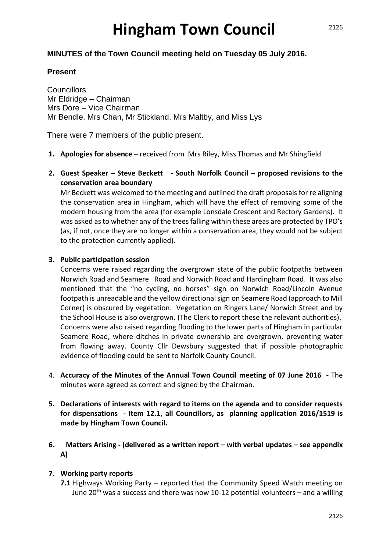# **Hingham Town Council**

# **MINUTES of the Town Council meeting held on Tuesday 05 July 2016.**

# **Present**

**Councillors** Mr Eldridge – Chairman Mrs Dore – Vice Chairman Mr Bendle, Mrs Chan, Mr Stickland, Mrs Maltby, and Miss Lys

There were 7 members of the public present.

- **1. Apologies for absence –** received fromMrs Riley, Miss Thomas and Mr Shingfield
- **2. Guest Speaker – Steve Beckett - South Norfolk Council – proposed revisions to the conservation area boundary**

Mr Beckett was welcomed to the meeting and outlined the draft proposals for re aligning the conservation area in Hingham, which will have the effect of removing some of the modern housing from the area (for example Lonsdale Crescent and Rectory Gardens). It was asked as to whether any of the trees falling within these areas are protected by TPO's (as, if not, once they are no longer within a conservation area, they would not be subject to the protection currently applied).

# **3. Public participation session**

Concerns were raised regarding the overgrown state of the public footpaths between Norwich Road and Seamere Road and Norwich Road and Hardingham Road. It was also mentioned that the "no cycling, no horses" sign on Norwich Road/Lincoln Avenue footpath is unreadable and the yellow directional sign on Seamere Road (approach to Mill Corner) is obscured by vegetation. Vegetation on Ringers Lane/ Norwich Street and by the School House is also overgrown. (The Clerk to report these the relevant authorities). Concerns were also raised regarding flooding to the lower parts of Hingham in particular Seamere Road, where ditches in private ownership are overgrown, preventing water from flowing away. County Cllr Dewsbury suggested that if possible photographic evidence of flooding could be sent to Norfolk County Council.

- 4. **Accuracy of the Minutes of the Annual Town Council meeting of 07 June 2016 -** The minutes were agreed as correct and signed by the Chairman.
- **5. Declarations of interests with regard to items on the agenda and to consider requests for dispensations - Item 12.1, all Councillors, as planning application 2016/1519 is made by Hingham Town Council.**
- **6. Matters Arising - (delivered as a written report – with verbal updates – see appendix A)**

# **7. Working party reports**

**7.1** Highways Working Party – reported that the Community Speed Watch meeting on June  $20<sup>th</sup>$  was a success and there was now 10-12 potential volunteers – and a willing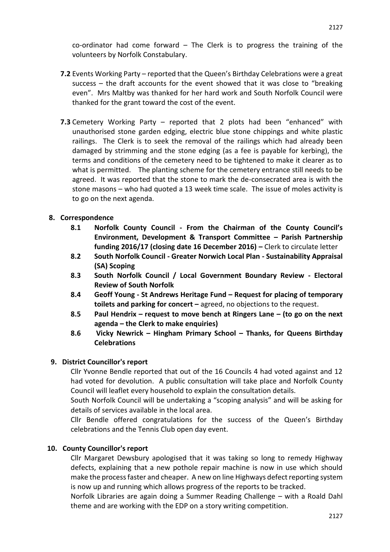co-ordinator had come forward – The Clerk is to progress the training of the volunteers by Norfolk Constabulary.

- **7.2** Events Working Party reported that the Queen's Birthday Celebrations were a great success – the draft accounts for the event showed that it was close to "breaking even". Mrs Maltby was thanked for her hard work and South Norfolk Council were thanked for the grant toward the cost of the event.
- **7.3** Cemetery Working Party reported that 2 plots had been "enhanced" with unauthorised stone garden edging, electric blue stone chippings and white plastic railings. The Clerk is to seek the removal of the railings which had already been damaged by strimming and the stone edging (as a fee is payable for kerbing), the terms and conditions of the cemetery need to be tightened to make it clearer as to what is permitted. The planting scheme for the cemetery entrance still needs to be agreed. It was reported that the stone to mark the de-consecrated area is with the stone masons – who had quoted a 13 week time scale. The issue of moles activity is to go on the next agenda.

#### **8. Correspondence**

- **8.1 Norfolk County Council - From the Chairman of the County Council's Environment, Development & Transport Committee – Parish Partnership funding 2016/17 (closing date 16 December 2016) –** Clerk to circulate letter
- **8.2 South Norfolk Council - Greater Norwich Local Plan - Sustainability Appraisal (SA) Scoping**
- **8.3 South Norfolk Council / Local Government Boundary Review - Electoral Review of South Norfolk**
- **8.4 Geoff Young - St Andrews Heritage Fund – Request for placing of temporary toilets and parking for concert –** agreed, no objections to the request.
- **8.5 Paul Hendrix – request to move bench at Ringers Lane – (to go on the next agenda – the Clerk to make enquiries)**
- **8.6 Vicky Newrick – Hingham Primary School – Thanks, for Queens Birthday Celebrations**

#### **9. District Councillor's report**

Cllr Yvonne Bendle reported that out of the 16 Councils 4 had voted against and 12 had voted for devolution. A public consultation will take place and Norfolk County Council will leaflet every household to explain the consultation details.

South Norfolk Council will be undertaking a "scoping analysis" and will be asking for details of services available in the local area.

Cllr Bendle offered congratulations for the success of the Queen's Birthday celebrations and the Tennis Club open day event.

#### **10. County Councillor's report**

Cllr Margaret Dewsbury apologised that it was taking so long to remedy Highway defects, explaining that a new pothole repair machine is now in use which should make the process faster and cheaper. A new on line Highways defect reporting system is now up and running which allows progress of the reports to be tracked.

Norfolk Libraries are again doing a Summer Reading Challenge – with a Roald Dahl theme and are working with the EDP on a story writing competition.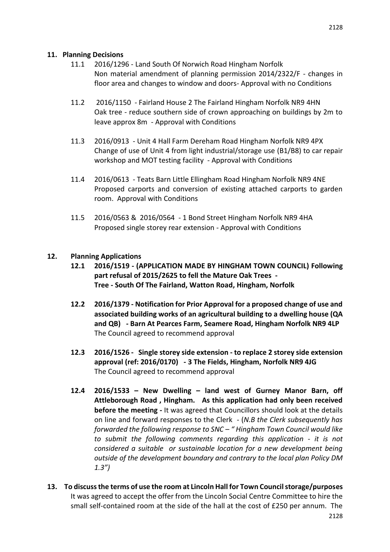#### **11. Planning Decisions**

- 11.1 2016/1296 Land South Of Norwich Road Hingham Norfolk Non material amendment of planning permission 2014/2322/F - changes in floor area and changes to window and doors- Approval with no Conditions
- 11.2 2016/1150 Fairland House 2 The Fairland Hingham Norfolk NR9 4HN Oak tree - reduce southern side of crown approaching on buildings by 2m to leave approx 8m - Approval with Conditions
- 11.3 2016/0913 Unit 4 Hall Farm Dereham Road Hingham Norfolk NR9 4PX Change of use of Unit 4 from light industrial/storage use (B1/B8) to car repair workshop and MOT testing facility - Approval with Conditions
- 11.4 2016/0613 Teats Barn Little Ellingham Road Hingham Norfolk NR9 4NE Proposed carports and conversion of existing attached carports to garden room. Approval with Conditions
- 11.5 2016/0563 & 2016/0564 1 Bond Street Hingham Norfolk NR9 4HA Proposed single storey rear extension - Approval with Conditions

# **12. Planning Applications**

- **12.1 2016/1519 - (APPLICATION MADE BY HINGHAM TOWN COUNCIL) Following part refusal of 2015/2625 to fell the Mature Oak Trees - Tree - South Of The Fairland, Watton Road, Hingham, Norfolk**
- **12.2 2016/1379 - Notification for Prior Approval for a proposed change of use and associated building works of an agricultural building to a dwelling house (QA and QB) - Barn At Pearces Farm, Seamere Road, Hingham Norfolk NR9 4LP** The Council agreed to recommend approval
- **12.3 2016/1526 Single storey side extension - to replace 2 storey side extension approval (ref: 2016/0170) - 3 The Fields, Hingham, Norfolk NR9 4JG** The Council agreed to recommend approval
- **12.4 2016/1533 – New Dwelling – land west of Gurney Manor Barn, off Attleborough Road , Hingham. As this application had only been received before the meeting -** It was agreed that Councillors should look at the details on line and forward responses to the Clerk - (*N.B the Clerk subsequently has forwarded the following response to SNC – " Hingham Town Council would like to submit the following comments regarding this application - it is not considered a suitable or sustainable location for a new development being outside of the development boundary and contrary to the local plan Policy DM 1.3")*
- **13. To discuss the terms of use the room at Lincoln Hall for Town Council storage/purposes**  It was agreed to accept the offer from the Lincoln Social Centre Committee to hire the small self-contained room at the side of the hall at the cost of £250 per annum. The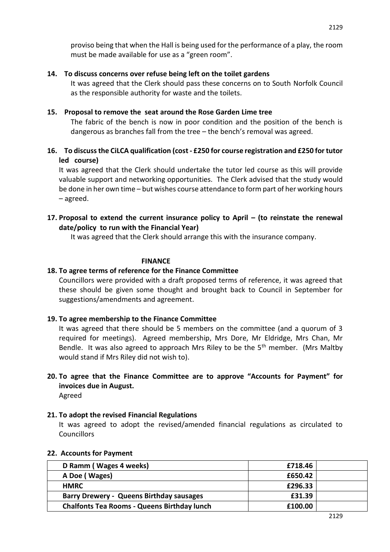# **14. To discuss concerns over refuse being left on the toilet gardens**

It was agreed that the Clerk should pass these concerns on to South Norfolk Council as the responsible authority for waste and the toilets.

# **15. Proposal to remove the seat around the Rose Garden Lime tree**

The fabric of the bench is now in poor condition and the position of the bench is dangerous as branches fall from the tree – the bench's removal was agreed.

# **16. To discuss the CiLCA qualification (cost - £250 for course registration and £250 for tutor led course)**

It was agreed that the Clerk should undertake the tutor led course as this will provide valuable support and networking opportunities. The Clerk advised that the study would be done in her own time – but wishes course attendance to form part of her working hours – agreed.

# **17. Proposal to extend the current insurance policy to April – (to reinstate the renewal date/policy to run with the Financial Year)**

It was agreed that the Clerk should arrange this with the insurance company.

# **FINANCE**

# **18. To agree terms of reference for the Finance Committee**

Councillors were provided with a draft proposed terms of reference, it was agreed that these should be given some thought and brought back to Council in September for suggestions/amendments and agreement.

# **19. To agree membership to the Finance Committee**

It was agreed that there should be 5 members on the committee (and a quorum of 3 required for meetings). Agreed membership, Mrs Dore, Mr Eldridge, Mrs Chan, Mr Bendle. It was also agreed to approach Mrs Riley to be the  $5<sup>th</sup>$  member. (Mrs Maltby would stand if Mrs Riley did not wish to).

# **20. To agree that the Finance Committee are to approve "Accounts for Payment" for invoices due in August.**

Agreed

# **21. To adopt the revised Financial Regulations**

It was agreed to adopt the revised/amended financial regulations as circulated to **Councillors** 

# **22. Accounts for Payment**

| D Ramm (Wages 4 weeks)                             | £718.46 |  |
|----------------------------------------------------|---------|--|
| A Doe (Wages)                                      | £650.42 |  |
| <b>HMRC</b>                                        | £296.33 |  |
| <b>Barry Drewery - Queens Birthday sausages</b>    | £31.39  |  |
| <b>Chalfonts Tea Rooms - Queens Birthday lunch</b> | £100.00 |  |

2129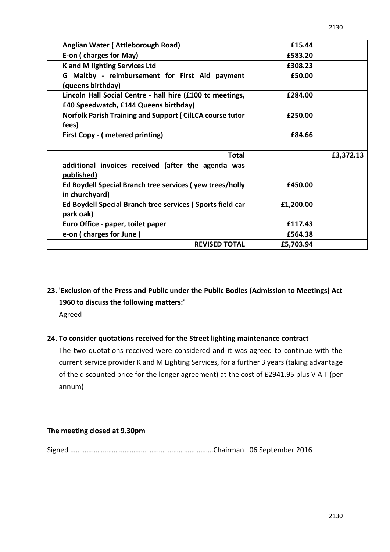| Anglian Water (Attleborough Road)                                                                  | £15.44    |           |
|----------------------------------------------------------------------------------------------------|-----------|-----------|
| E-on (charges for May)                                                                             | £583.20   |           |
| K and M lighting Services Ltd                                                                      | £308.23   |           |
| G Maltby - reimbursement for First Aid payment<br>(queens birthday)                                | £50.00    |           |
| Lincoln Hall Social Centre - hall hire (£100 tc meetings,<br>£40 Speedwatch, £144 Queens birthday) | £284.00   |           |
| <b>Norfolk Parish Training and Support (CilLCA course tutor</b><br>fees)                           | £250.00   |           |
| First Copy - (metered printing)                                                                    | £84.66    |           |
|                                                                                                    |           |           |
| <b>Total</b>                                                                                       |           | £3,372.13 |
| additional invoices received (after the agenda was<br>published)                                   |           |           |
| Ed Boydell Special Branch tree services (yew trees/holly<br>in churchyard)                         | £450.00   |           |
| Ed Boydell Special Branch tree services (Sports field car<br>park oak)                             | £1,200.00 |           |
| Euro Office - paper, toilet paper                                                                  | £117.43   |           |
| e-on (charges for June)                                                                            | £564.38   |           |
| <b>REVISED TOTAL</b>                                                                               | £5,703.94 |           |

**23. 'Exclusion of the Press and Public under the Public Bodies (Admission to Meetings) Act 1960 to discuss the following matters:'**

Agreed

# **24. To consider quotations received for the Street lighting maintenance contract**

The two quotations received were considered and it was agreed to continue with the current service provider K and M Lighting Services, for a further 3 years (taking advantage of the discounted price for the longer agreement) at the cost of £2941.95 plus V A T (per annum)

# **The meeting closed at 9.30pm**

Signed …………………………………………………………………….Chairman 06 September 2016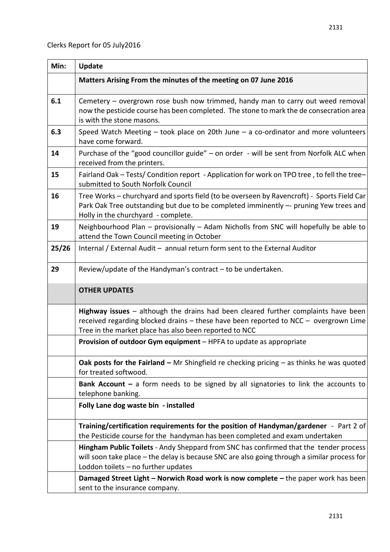| Min:  | <b>Update</b>                                                                                                                                                                                                                          |
|-------|----------------------------------------------------------------------------------------------------------------------------------------------------------------------------------------------------------------------------------------|
|       | Matters Arising From the minutes of the meeting on 07 June 2016                                                                                                                                                                        |
| 6.1   | Cemetery – overgrown rose bush now trimmed, handy man to carry out weed removal<br>now the pesticide course has been completed. The stone to mark the de consecration area<br>is with the stone masons.                                |
| 6.3   | Speed Watch Meeting $-$ took place on 20th June $-$ a co-ordinator and more volunteers<br>have come forward.                                                                                                                           |
| 14    | Purchase of the "good councillor guide" - on order - will be sent from Norfolk ALC when<br>received from the printers.                                                                                                                 |
| 15    | Fairland Oak - Tests/ Condition report - Application for work on TPO tree, to fell the tree-<br>submitted to South Norfolk Council                                                                                                     |
| 16    | Tree Works – churchyard and sports field (to be overseen by Ravencroft) - Sports Field Car<br>Park Oak Tree outstanding but due to be completed imminently -- pruning Yew trees and<br>Holly in the churchyard - complete.             |
| 19    | Neighbourhood Plan - provisionally - Adam Nicholls from SNC will hopefully be able to<br>attend the Town Council meeting in October                                                                                                    |
| 25/26 | Internal / External Audit - annual return form sent to the External Auditor                                                                                                                                                            |
| 29    | Review/update of the Handyman's contract $-$ to be undertaken.                                                                                                                                                                         |
|       | <b>OTHER UPDATES</b>                                                                                                                                                                                                                   |
|       | Highway issues $-$ although the drains had been cleared further complaints have been<br>received regarding blocked drains - these have been reported to NCC - overgrown Lime<br>Tree in the market place has also been reported to NCC |
|       | Provision of outdoor Gym equipment - HPFA to update as appropriate                                                                                                                                                                     |
|       | Oak posts for the Fairland $-$ Mr Shingfield re checking pricing $-$ as thinks he was quoted<br>for treated softwood.                                                                                                                  |
|       | Bank Account $-$ a form needs to be signed by all signatories to link the accounts to<br>telephone banking.                                                                                                                            |
|       | Folly Lane dog waste bin - installed                                                                                                                                                                                                   |
|       | Training/certification requirements for the position of Handyman/gardener - Part 2 of<br>the Pesticide course for the handyman has been completed and exam undertaken                                                                  |
|       | Hingham Public Toilets - Andy Sheppard from SNC has confirmed that the tender process<br>will soon take place - the delay is because SNC are also going through a similar process for<br>Loddon toilets - no further updates           |
|       | Damaged Street Light - Norwich Road work is now complete - the paper work has been<br>sent to the insurance company.                                                                                                                   |